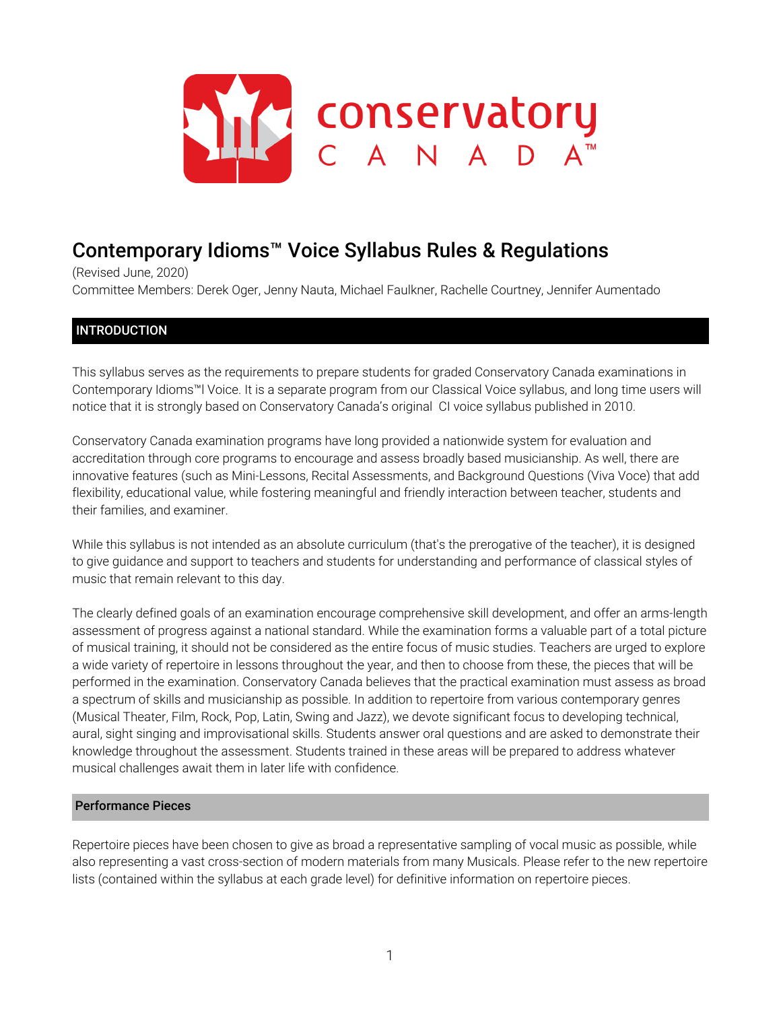

# Contemporary Idioms™ Voice Syllabus Rules & Regulations

(Revised June, 2020) Committee Members: Derek Oger, Jenny Nauta, Michael Faulkner, Rachelle Courtney, Jennifer Aumentado

# INTRODUCTION

This syllabus serves as the requirements to prepare students for graded Conservatory Canada examinations in Contemporary Idioms™l Voice. It is a separate program from our Classical Voice syllabus, and long time users will notice that it is strongly based on Conservatory Canada's original CI voice syllabus published in 2010.

Conservatory Canada examination programs have long provided a nationwide system for evaluation and accreditation through core programs to encourage and assess broadly based musicianship. As well, there are innovative features (such as Mini-Lessons, Recital Assessments, and Background Questions (Viva Voce) that add flexibility, educational value, while fostering meaningful and friendly interaction between teacher, students and their families, and examiner.

While this syllabus is not intended as an absolute curriculum (that's the prerogative of the teacher), it is designed to give guidance and support to teachers and students for understanding and performance of classical styles of music that remain relevant to this day.

The clearly defined goals of an examination encourage comprehensive skill development, and offer an arms-length assessment of progress against a national standard. While the examination forms a valuable part of a total picture of musical training, it should not be considered as the entire focus of music studies. Teachers are urged to explore a wide variety of repertoire in lessons throughout the year, and then to choose from these, the pieces that will be performed in the examination. Conservatory Canada believes that the practical examination must assess as broad a spectrum of skills and musicianship as possible. In addition to repertoire from various contemporary genres (Musical Theater, Film, Rock, Pop, Latin, Swing and Jazz), we devote significant focus to developing technical, aural, sight singing and improvisational skills. Students answer oral questions and are asked to demonstrate their knowledge throughout the assessment. Students trained in these areas will be prepared to address whatever musical challenges await them in later life with confidence.

### Performance Pieces

Repertoire pieces have been chosen to give as broad a representative sampling of vocal music as possible, while also representing a vast cross-section of modern materials from many Musicals. Please refer to the new repertoire lists (contained within the syllabus at each grade level) for definitive information on repertoire pieces.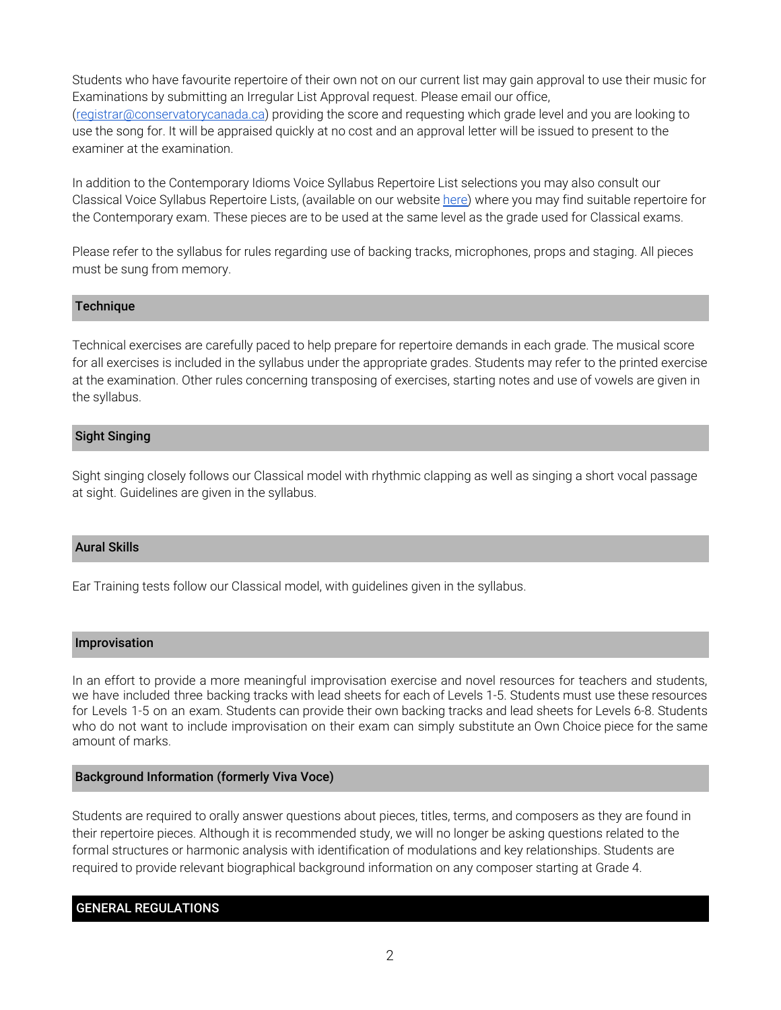Students who have favourite repertoire of their own not on our current list may gain approval to use their music for Examinations by submitting an Irregular List Approval request. Please email our office,

([registrar@conservatorycanada.ca\)](mailto:registrar@conservatorycanada.ca) providing the score and requesting which grade level and you are looking to use the song for. It will be appraised quickly at no cost and an approval letter will be issued to present to the examiner at the examination.

In addition to the Contemporary Idioms Voice Syllabus Repertoire List selections you may also consult our Classical Voice Syllabus Repertoire Lists, (available on our website [here\)](https://conservatorycanada.ca/syllabi/classical-voice/) where you may find suitable repertoire for the Contemporary exam. These pieces are to be used at the same level as the grade used for Classical exams.

Please refer to the syllabus for rules regarding use of backing tracks, microphones, props and staging. All pieces must be sung from memory.

# **Technique**

Technical exercises are carefully paced to help prepare for repertoire demands in each grade. The musical score for all exercises is included in the syllabus under the appropriate grades. Students may refer to the printed exercise at the examination. Other rules concerning transposing of exercises, starting notes and use of vowels are given in the syllabus.

# Sight Singing

Sight singing closely follows our Classical model with rhythmic clapping as well as singing a short vocal passage at sight. Guidelines are given in the syllabus.

# Aural Skills

Ear Training tests follow our Classical model, with guidelines given in the syllabus.

#### Improvisation

In an effort to provide a more meaningful improvisation exercise and novel resources for teachers and students, we have included three backing tracks with lead sheets for each of Levels 1-5. Students must use these resources for Levels 1-5 on an exam. Students can provide their own backing tracks and lead sheets for Levels 6-8. Students who do not want to include improvisation on their exam can simply substitute an Own Choice piece for the same amount of marks.

#### Background Information (formerly Viva Voce)

Students are required to orally answer questions about pieces, titles, terms, and composers as they are found in their repertoire pieces. Although it is recommended study, we will no longer be asking questions related to the formal structures or harmonic analysis with identification of modulations and key relationships. Students are required to provide relevant biographical background information on any composer starting at Grade 4.

# GENERAL REGULATIONS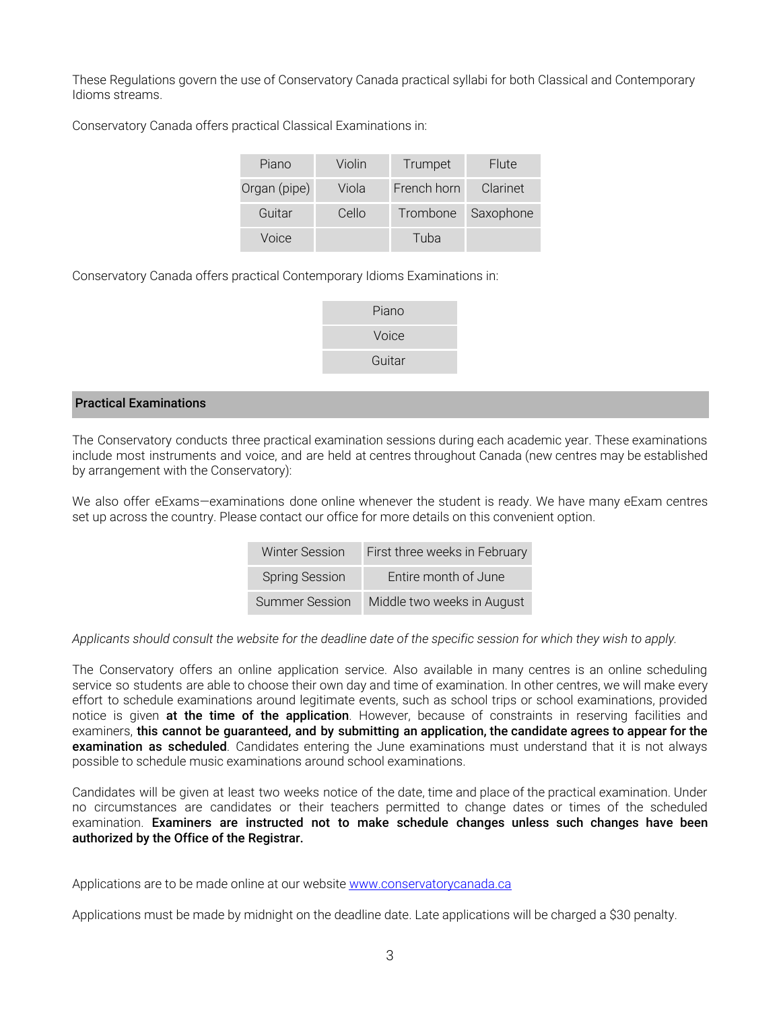These Regulations govern the use of Conservatory Canada practical syllabi for both Classical and Contemporary Idioms streams.

Conservatory Canada offers practical Classical Examinations in:

| Piano        | Violin | Trumpet     | Flute              |
|--------------|--------|-------------|--------------------|
| Organ (pipe) | Viola  | French horn | Clarinet           |
| Guitar       | Cello  |             | Trombone Saxophone |
| Voice        |        | Tuba        |                    |

Conservatory Canada offers practical Contemporary Idioms Examinations in:

| Piano  |
|--------|
| Voice  |
| Guitar |
|        |

# Practical Examinations

The Conservatory conducts three practical examination sessions during each academic year. These examinations include most instruments and voice, and are held at centres throughout Canada (new centres may be established by arrangement with the Conservatory):

We also offer eExams-examinations done online whenever the student is ready. We have many eExam centres set up across the country. Please contact our office for more details on this convenient option.

| <b>Winter Session</b> | First three weeks in February |
|-----------------------|-------------------------------|
| <b>Spring Session</b> | Entire month of June          |
| Summer Session        | Middle two weeks in August    |

Applicants should consult the website for the deadline date of the specific session for which they wish to apply.

The Conservatory offers an online application service. Also available in many centres is an online scheduling service so students are able to choose their own day and time of examination. In other centres, we will make every effort to schedule examinations around legitimate events, such as school trips or school examinations, provided notice is given at the time of the application. However, because of constraints in reserving facilities and examiners, this cannot be guaranteed, and by submitting an application, the candidate agrees to appear for the examination as scheduled. Candidates entering the June examinations must understand that it is not always possible to schedule music examinations around school examinations.

Candidates will be given at least two weeks notice of the date, time and place of the practical examination. Under no circumstances are candidates or their teachers permitted to change dates or times of the scheduled examination. Examiners are instructed not to make schedule changes unless such changes have been authorized by the Office of the Registrar.

Applications are to be made online at our website [www.conservatorycanada.ca](http://www.conservatorycanada.ca/)

Applications must be made by midnight on the deadline date. Late applications will be charged a \$30 penalty.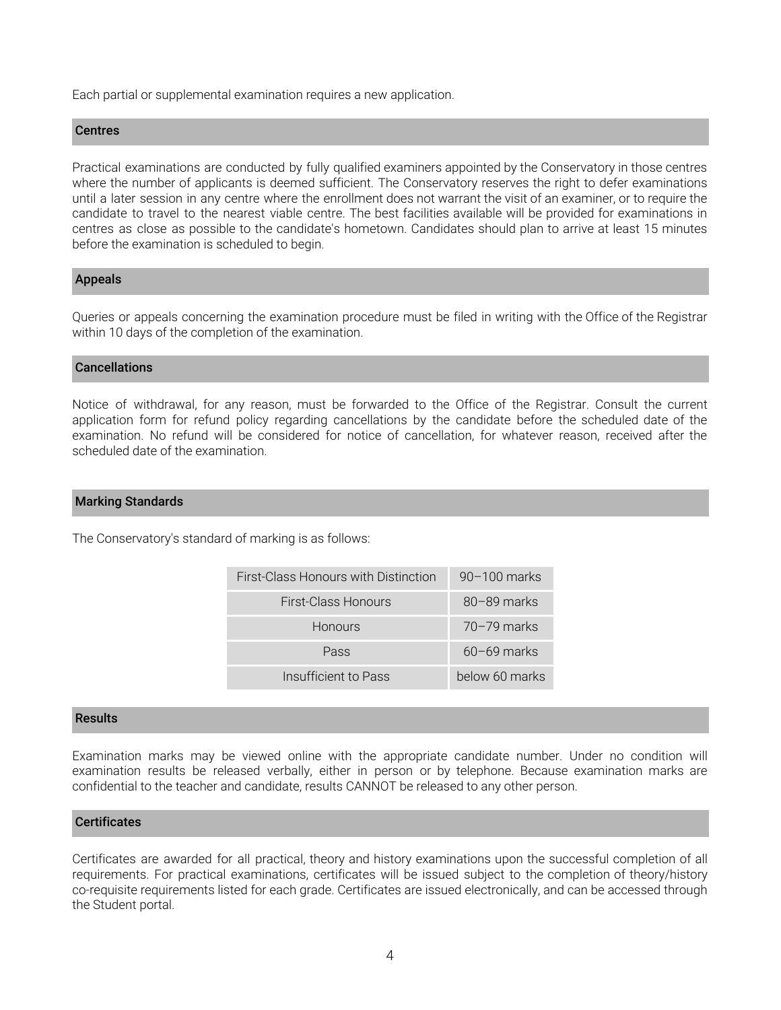Each partial or supplemental examination requires a new application.

### **Centres**

Practical examinations are conducted by fully qualified examiners appointed by the Conservatory in those centres where the number of applicants is deemed sufficient. The Conservatory reserves the right to defer examinations until a later session in any centre where the enrollment does not warrant the visit of an examiner, or to require the candidate to travel to the nearest viable centre. The best facilities available will be provided for examinations in centres as close as possible to the candidate's hometown. Candidates should plan to arrive at least 15 minutes before the examination is scheduled to begin.

# Appeals

Queries or appeals concerning the examination procedure must be filed in writing with the Office of the Registrar within 10 days of the completion of the examination.

# Cancellations

Notice of withdrawal, for any reason, must be forwarded to the Office of the Registrar. Consult the current application form for refund policy regarding cancellations by the candidate before the scheduled date of the examination. No refund will be considered for notice of cancellation, for whatever reason, received after the scheduled date of the examination.

# Marking Standards

The Conservatory's standard of marking is as follows:

| First-Class Honours with Distinction | $90-100$ marks  |
|--------------------------------------|-----------------|
| <b>First-Class Honours</b>           | $80 - 89$ marks |
| <b>Honours</b>                       | $70 - 79$ marks |
| Pass                                 | $60 - 69$ marks |
| Insufficient to Pass                 | below 60 marks  |

#### **Results**

Examination marks may be viewed online with the appropriate candidate number. Under no condition will examination results be released verbally, either in person or by telephone. Because examination marks are confidential to the teacher and candidate, results CANNOT be released to any other person.

# **Certificates**

Certificates are awarded for all practical, theory and history examinations upon the successful completion of all requirements. For practical examinations, certificates will be issued subject to the completion of theory/history co-requisite requirements listed for each grade. Certificates are issued electronically, and can be accessed through the Student portal.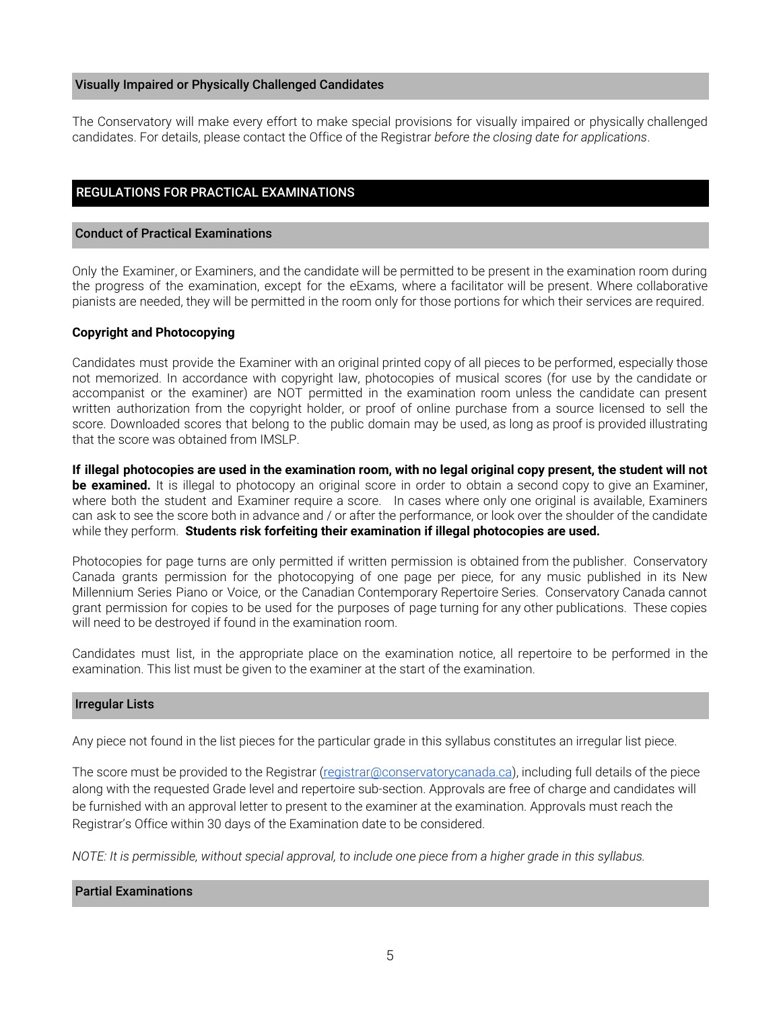#### Visually Impaired or Physically Challenged Candidates

The Conservatory will make every effort to make special provisions for visually impaired or physically challenged candidates. For details, please contact the Office of the Registrar *before the closing date for applications*.

# REGULATIONS FOR PRACTICAL EXAMINATIONS

#### Conduct of Practical Examinations

Only the Examiner, or Examiners, and the candidate will be permitted to be present in the examination room during the progress of the examination, except for the eExams, where a facilitator will be present. Where collaborative pianists are needed, they will be permitted in the room only for those portions for which their services are required.

#### **Copyright and Photocopying**

Candidates must provide the Examiner with an original printed copy of all pieces to be performed, especially those not memorized. In accordance with copyright law, photocopies of musical scores (for use by the candidate or accompanist or the examiner) are NOT permitted in the examination room unless the candidate can present written authorization from the copyright holder, or proof of online purchase from a source licensed to sell the score. Downloaded scores that belong to the public domain may be used, as long as proof is provided illustrating that the score was obtained from IMSLP.

If illegal photocopies are used in the examination room, with no legal original copy present, the student will not **be examined.** It is illegal to photocopy an original score in order to obtain a second copy to give an Examiner, where both the student and Examiner require a score. In cases where only one original is available, Examiners can ask to see the score both in advance and / or after the performance, or look over the shoulder of the candidate while they perform. **Students risk forfeiting their examination if illegal photocopies are used.**

Photocopies for page turns are only permitted if written permission is obtained from the publisher. Conservatory Canada grants permission for the photocopying of one page per piece, for any music published in its New Millennium Series Piano or Voice, or the Canadian Contemporary Repertoire Series. Conservatory Canada cannot grant permission for copies to be used for the purposes of page turning for any other publications. These copies will need to be destroyed if found in the examination room.

Candidates must list, in the appropriate place on the examination notice, all repertoire to be performed in the examination. This list must be given to the examiner at the start of the examination.

#### Irregular Lists

Any piece not found in the list pieces for the particular grade in this syllabus constitutes an irregular list piece.

The score must be provided to the Registrar ([registrar@conservatorycanada.ca](mailto:registrar@conservatorycanada.ca)), including full details of the piece along with the requested Grade level and repertoire sub-section. Approvals are free of charge and candidates will be furnished with an approval letter to present to the examiner at the examination. Approvals must reach the Registrar's Office within 30 days of the Examination date to be considered.

NOTE: It is permissible, without special approval, to include one piece from a higher grade in this syllabus.

# Partial Examinations